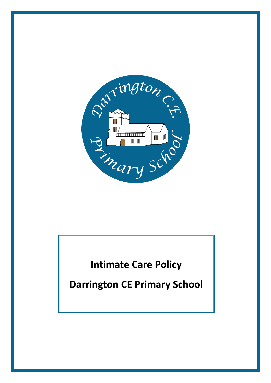

**Intimate Care Policy**

**Darrington CE Primary School**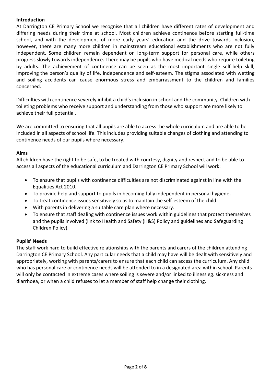## **Introduction**

At Darrington CE Primary School we recognise that all children have different rates of development and differing needs during their time at school. Most children achieve continence before starting full-time school, and with the development of more early years' education and the drive towards inclusion, however, there are many more children in mainstream educational establishments who are not fully independent. Some children remain dependent on long-term support for personal care, while others progress slowly towards independence. There may be pupils who have medical needs who require toileting by adults. The achievement of continence can be seen as the most important single self-help skill, improving the person's quality of life, independence and self-esteem. The stigma associated with wetting and soiling accidents can cause enormous stress and embarrassment to the children and families concerned.

Difficulties with continence severely inhibit a child's inclusion in school and the community. Children with toileting problems who receive support and understanding from those who support are more likely to achieve their full potential.

We are committed to ensuring that all pupils are able to access the whole curriculum and are able to be included in all aspects of school life. This includes providing suitable changes of clothing and attending to continence needs of our pupils where necessary.

## **Aims**

All children have the right to be safe, to be treated with courtesy, dignity and respect and to be able to access all aspects of the educational curriculum and Darrington CE Primary School will work:

- To ensure that pupils with continence difficulties are not discriminated against in line with the Equalities Act 2010.
- To provide help and support to pupils in becoming fully independent in personal hygiene.
- To treat continence issues sensitively so as to maintain the self-esteem of the child.
- With parents in delivering a suitable care plan where necessary.
- To ensure that staff dealing with continence issues work within guidelines that protect themselves and the pupils involved (link to Health and Safety (H&S) Policy and guidelines and Safeguarding Children Policy).

# **Pupils' Needs**

The staff work hard to build effective relationships with the parents and carers of the children attending Darrington CE Primary School. Any particular needs that a child may have will be dealt with sensitively and appropriately, working with parents/carers to ensure that each child can access the curriculum. Any child who has personal care or continence needs will be attended to in a designated area within school. Parents will only be contacted in extreme cases where soiling is severe and/or linked to illness eg. sickness and diarrhoea, or when a child refuses to let a member of staff help change their clothing.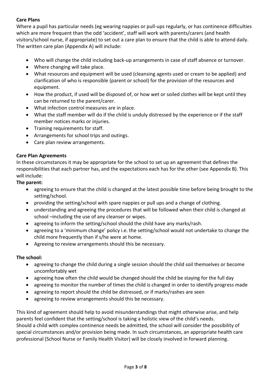# **Care Plans**

Where a pupil has particular needs (eg wearing nappies or pull-ups regularly, or has continence difficulties which are more frequent than the odd 'accident', staff will work with parents/carers (and health visitors/school nurse, if appropriate) to set out a care plan to ensure that the child is able to attend daily. The written care plan (Appendix A) will include:

- Who will change the child including back-up arrangements in case of staff absence or turnover.
- Where changing will take place.
- What resources and equipment will be used (cleansing agents used or cream to be applied) and clarification of who is responsible (parent or school) for the provision of the resources and equipment.
- How the product, if used will be disposed of, or how wet or soiled clothes will be kept until they can be returned to the parent/carer.
- What infection control measures are in place.
- What the staff member will do if the child is unduly distressed by the experience or if the staff member notices marks or injuries.
- Training requirements for staff.
- Arrangements for school trips and outings.
- Care plan review arrangements.

# **Care Plan Agreements**

In these circumstances it may be appropriate for the school to set up an agreement that defines the responsibilities that each partner has, and the expectations each has for the other (see Appendix B). This will include:

## **The parent:**

- agreeing to ensure that the child is changed at the latest possible time before being brought to the setting/school.
- providing the setting/school with spare nappies or pull ups and a change of clothing.
- understanding and agreeing the procedures that will be followed when their child is changed at school –including the use of any cleanser or wipes.
- agreeing to inform the setting/school should the child have any marks/rash.
- agreeing to a 'minimum change' policy i.e. the setting/school would not undertake to change the child more frequently than if s/he were at home.
- Agreeing to review arrangements should this be necessary.

# **The school:**

- agreeing to change the child during a single session should the child soil themselves or become uncomfortably wet
- agreeing how often the child would be changed should the child be staying for the full day
- agreeing to monitor the number of times the child is changed in order to identify progress made
- agreeing to report should the child be distressed, or if marks/rashes are seen
- agreeing to review arrangements should this be necessary.

This kind of agreement should help to avoid misunderstandings that might otherwise arise, and help parents feel confident that the setting/school is taking a holistic view of the child's needs. Should a child with complex continence needs be admitted, the school will consider the possibility of special circumstances and/or provision being made. In such circumstances, an appropriate health care professional (School Nurse or Family Health Visitor) will be closely involved in forward planning.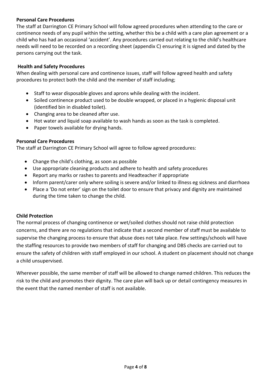# **Personal Care Procedures**

The staff at Darrington CE Primary School will follow agreed procedures when attending to the care or continence needs of any pupil within the setting, whether this be a child with a care plan agreement or a child who has had an occasional 'accident'. Any procedures carried out relating to the child's healthcare needs will need to be recorded on a recording sheet (appendix C) ensuring it is signed and dated by the persons carrying out the task.

## **Health and Safety Procedures**

When dealing with personal care and continence issues, staff will follow agreed health and safety procedures to protect both the child and the member of staff including;

- Staff to wear disposable gloves and aprons while dealing with the incident.
- Soiled continence product used to be double wrapped, or placed in a hygienic disposal unit (identified bin in disabled toilet).
- Changing area to be cleaned after use.
- Hot water and liquid soap available to wash hands as soon as the task is completed.
- Paper towels available for drying hands.

## **Personal Care Procedures**

The staff at Darrington CE Primary School will agree to follow agreed procedures:

- Change the child's clothing, as soon as possible
- Use appropriate cleaning products and adhere to health and safety procedures
- Report any marks or rashes to parents and Headteacher if appropriate
- Inform parent/carer only where soiling is severe and/or linked to illness eg sickness and diarrhoea
- Place a 'Do not enter' sign on the toilet door to ensure that privacy and dignity are maintained during the time taken to change the child.

#### **Child Protection**

The normal process of changing continence or wet/soiled clothes should not raise child protection concerns, and there are no regulations that indicate that a second member of staff must be available to supervise the changing process to ensure that abuse does not take place. Few settings/schools will have the staffing resources to provide two members of staff for changing and DBS checks are carried out to ensure the safety of children with staff employed in our school. A student on placement should not change a child unsupervised.

Wherever possible, the same member of staff will be allowed to change named children. This reduces the risk to the child and promotes their dignity. The care plan will back up or detail contingency measures in the event that the named member of staff is not available.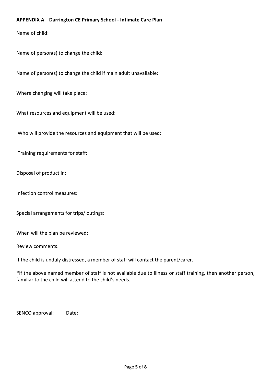### **APPENDIX A Darrington CE Primary School - Intimate Care Plan**

Name of child:

Name of person(s) to change the child:

Name of person(s) to change the child if main adult unavailable:

Where changing will take place:

What resources and equipment will be used:

Who will provide the resources and equipment that will be used:

Training requirements for staff:

Disposal of product in:

Infection control measures:

Special arrangements for trips/ outings:

When will the plan be reviewed:

Review comments:

If the child is unduly distressed, a member of staff will contact the parent/carer.

\*If the above named member of staff is not available due to illness or staff training, then another person, familiar to the child will attend to the child's needs.

SENCO approval: Date: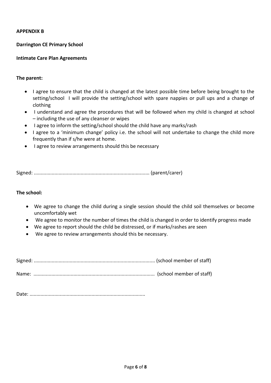#### **APPENDIX B**

#### **Darrington CE Primary School**

#### **Intimate Care Plan Agreements**

#### **The parent:**

- I agree to ensure that the child is changed at the latest possible time before being brought to the setting/school I will provide the setting/school with spare nappies or pull ups and a change of clothing
- I understand and agree the procedures that will be followed when my child is changed at school – including the use of any cleanser or wipes
- I agree to inform the setting/school should the child have any marks/rash
- I agree to a 'minimum change' policy i.e. the school will not undertake to change the child more frequently than if s/he were at home.
- I agree to review arrangements should this be necessary

Signed: .................................................................................... (parent/carer)

#### **The school:**

- We agree to change the child during a single session should the child soil themselves or become uncomfortably wet
- We agree to monitor the number of times the child is changed in order to identify progress made
- We agree to report should the child be distressed, or if marks/rashes are seen
- We agree to review arrangements should this be necessary.

Signed: ........................................................................................ (school member of staff)

Name: ........................................................................................ (school member of staff)

Date: ....................................................................................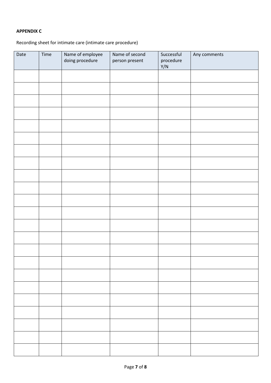## **APPENDIX C**

Recording sheet for intimate care (intimate care procedure)

| Date | Time | Name of employee | Name of second | Successful       | Any comments |
|------|------|------------------|----------------|------------------|--------------|
|      |      | doing procedure  | person present | procedure<br>Y/N |              |
|      |      |                  |                |                  |              |
|      |      |                  |                |                  |              |
|      |      |                  |                |                  |              |
|      |      |                  |                |                  |              |
|      |      |                  |                |                  |              |
|      |      |                  |                |                  |              |
|      |      |                  |                |                  |              |
|      |      |                  |                |                  |              |
|      |      |                  |                |                  |              |
|      |      |                  |                |                  |              |
|      |      |                  |                |                  |              |
|      |      |                  |                |                  |              |
|      |      |                  |                |                  |              |
|      |      |                  |                |                  |              |
|      |      |                  |                |                  |              |
|      |      |                  |                |                  |              |
|      |      |                  |                |                  |              |
|      |      |                  |                |                  |              |
|      |      |                  |                |                  |              |
|      |      |                  |                |                  |              |
|      |      |                  |                |                  |              |
|      |      |                  |                |                  |              |
|      |      |                  |                |                  |              |